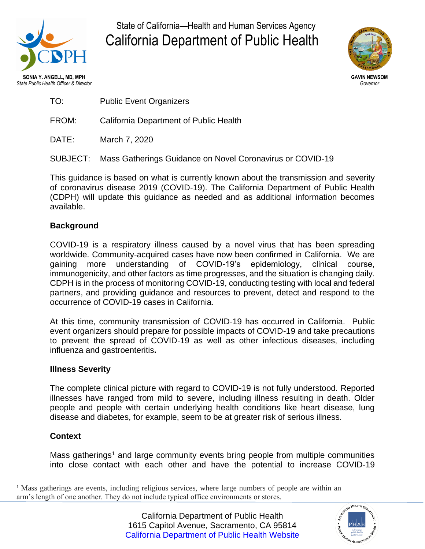

State of California—Health and Human Services Agency California Department of Public Health



**SONIA Y. ANGELL, MD, MPH GAVIN NEWSOM** *State Public Health Officer & Director Governor*

TO: Public Event Organizers

FROM: California Department of Public Health

DATE: March 7, 2020

SUBJECT: Mass Gatherings Guidance on Novel Coronavirus or COVID-19

This guidance is based on what is currently known about the transmission and severity of coronavirus disease 2019 (COVID-19). The California Department of Public Health (CDPH) will update this guidance as needed and as additional information becomes available.

# **Background**

COVID-19 is a respiratory illness caused by a novel virus that has been spreading worldwide. Community-acquired cases have now been confirmed in California. We are gaining more understanding of COVID-19's epidemiology, clinical course, immunogenicity, and other factors as time progresses, and the situation is changing daily. CDPH is in the process of monitoring COVID-19, conducting testing with local and federal partners, and providing guidance and resources to prevent, detect and respond to the occurrence of COVID-19 cases in California.

At this time, community transmission of COVID-19 has occurred in California. Public event organizers should prepare for possible impacts of COVID-19 and take precautions to prevent the spread of COVID-19 as well as other infectious diseases, including influenza and gastroenteritis**.**

# **Illness Severity**

The complete clinical picture with regard to COVID-19 is not fully understood. Reported illnesses have ranged from mild to severe, including illness resulting in death. Older people and people with certain underlying health conditions like heart disease, lung disease and diabetes, for example, seem to be at greater risk of serious illness.

# **Context**

Mass gatherings<sup>1</sup> and large community events bring people from multiple communities into close contact with each other and have the potential to increase COVID-19



<sup>&</sup>lt;sup>1</sup> Mass gatherings are events, including religious services, where large numbers of people are within an arm's length of one another. They do not include typical office environments or stores.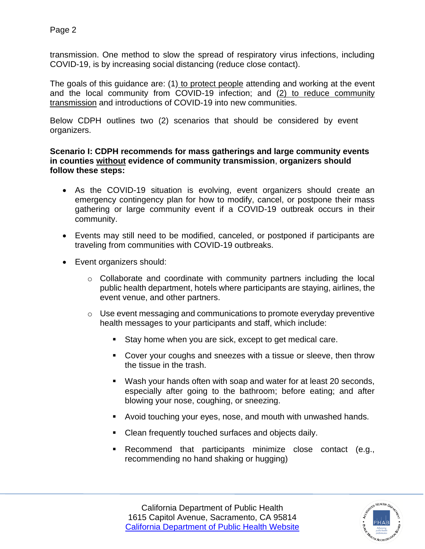Page 2

transmission. One method to slow the spread of respiratory virus infections, including COVID-19, is by increasing social distancing (reduce close contact).

The goals of this guidance are: (1) to protect people attending and working at the event and the local community from COVID-19 infection; and (2) to reduce community transmission and introductions of COVID-19 into new communities.

Below CDPH outlines two (2) scenarios that should be considered by event organizers.

## **Scenario I: CDPH recommends for mass gatherings and large community events in counties without evidence of community transmission**, **organizers should follow these steps:**

- As the COVID-19 situation is evolving, event organizers should create an emergency contingency plan for how to modify, cancel, or postpone their mass gathering or large community event if a COVID-19 outbreak occurs in their community.
- Events may still need to be modified, canceled, or postponed if participants are traveling from communities with COVID-19 outbreaks.
- Event organizers should:
	- o Collaborate and coordinate with community partners including the local public health department, hotels where participants are staying, airlines, the event venue, and other partners.
	- o Use event messaging and communications to promote everyday preventive health messages to your participants and staff, which include:
		- Stay home when you are sick, except to get medical care.
		- Cover your coughs and sneezes with a tissue or sleeve, then throw the tissue in the trash.
		- Wash your hands often with soap and water for at least 20 seconds, especially after going to the bathroom; before eating; and after blowing your nose, coughing, or sneezing.
		- Avoid touching your eyes, nose, and mouth with unwashed hands.
		- Clean frequently touched surfaces and objects daily.
		- Recommend that participants minimize close contact (e.g., recommending no hand shaking or hugging)



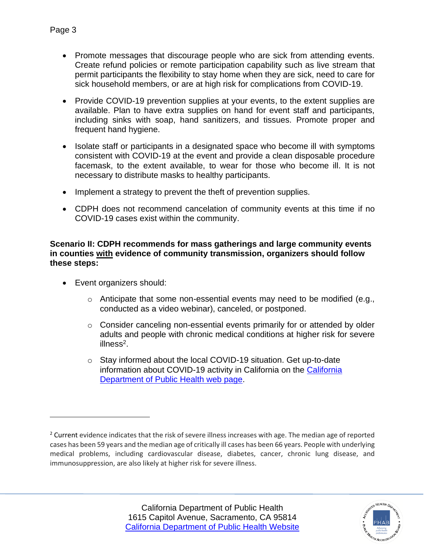- Promote messages that discourage people who are sick from attending events. Create refund policies or remote participation capability such as live stream that permit participants the flexibility to stay home when they are sick, need to care for sick household members, or are at high risk for complications from COVID-19.
- Provide COVID-19 prevention supplies at your events, to the extent supplies are available. Plan to have extra supplies on hand for event staff and participants, including sinks with soap, hand sanitizers, and tissues. Promote proper and frequent hand hygiene.
- Isolate staff or participants in a designated space who become ill with symptoms consistent with COVID-19 at the event and provide a clean disposable procedure facemask, to the extent available, to wear for those who become ill. It is not necessary to distribute masks to healthy participants.
- Implement a strategy to prevent the theft of prevention supplies.
- CDPH does not recommend cancelation of community events at this time if no COVID-19 cases exist within the community.

**Scenario II: CDPH recommends for mass gatherings and large community events in counties with evidence of community transmission, organizers should follow these steps:**

- Event organizers should:
	- $\circ$  Anticipate that some non-essential events may need to be modified (e.g., conducted as a video webinar), canceled, or postponed.
	- o Consider canceling non-essential events primarily for or attended by older adults and people with chronic medical conditions at higher risk for severe illness<sup>2</sup>.
	- o Stay informed about the local COVID-19 situation. Get up-to-date information about COVID-19 activity in California on the [California](https://www.cdph.ca.gov/Programs/CID/DCDC/Pages/Immunization/ncov2019.aspx)  [Department of Public Health web page.](https://www.cdph.ca.gov/Programs/CID/DCDC/Pages/Immunization/ncov2019.aspx)



<sup>&</sup>lt;sup>2</sup> Current evidence indicates that the risk of severe illness increases with age. The median age of reported cases has been 59 years and the median age of critically ill cases has been 66 years. People with underlying medical problems, including cardiovascular disease, diabetes, cancer, chronic lung disease, and immunosuppression, are also likely at higher risk for severe illness.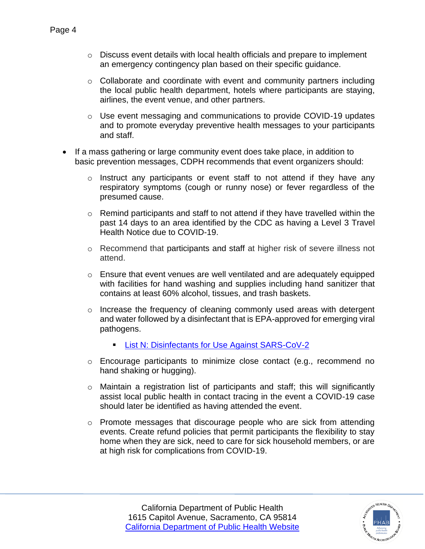- $\circ$  Discuss event details with local health officials and prepare to implement an emergency contingency plan based on their specific guidance.
- $\circ$  Collaborate and coordinate with event and community partners including the local public health department, hotels where participants are staying, airlines, the event venue, and other partners.
- $\circ$  Use event messaging and communications to provide COVID-19 updates and to promote everyday preventive health messages to your participants and staff.
- If a mass gathering or large community event does take place, in addition to basic prevention messages, CDPH recommends that event organizers should:
	- o Instruct any participants or event staff to not attend if they have any respiratory symptoms (cough or runny nose) or fever regardless of the presumed cause.
	- o Remind participants and staff to not attend if they have travelled within the past 14 days to an area identified by the CDC as having a Level 3 Travel Health Notice due to COVID-19.
	- o Recommend that participants and staff at higher risk of severe illness not attend.
	- o Ensure that event venues are well ventilated and are adequately equipped with facilities for hand washing and supplies including hand sanitizer that contains at least 60% alcohol, tissues, and trash baskets.
	- o Increase the frequency of cleaning commonly used areas with detergent and water followed by a disinfectant that is EPA-approved for emerging viral pathogens.
		- **EXECTE:** [List N: Disinfectants for Use Against SARS-CoV-2](https://www.epa.gov/pesticide-registration/list-n-disinfectants-use-against-sars-cov-2)
	- o Encourage participants to minimize close contact (e.g., recommend no hand shaking or hugging).
	- o Maintain a registration list of participants and staff; this will significantly assist local public health in contact tracing in the event a COVID-19 case should later be identified as having attended the event.
	- $\circ$  Promote messages that discourage people who are sick from attending events. Create refund policies that permit participants the flexibility to stay home when they are sick, need to care for sick household members, or are at high risk for complications from COVID-19.